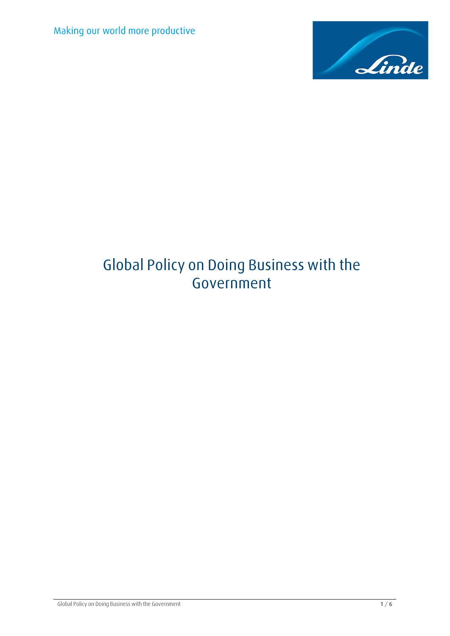

# **Global Policy on Doing Business with the Government**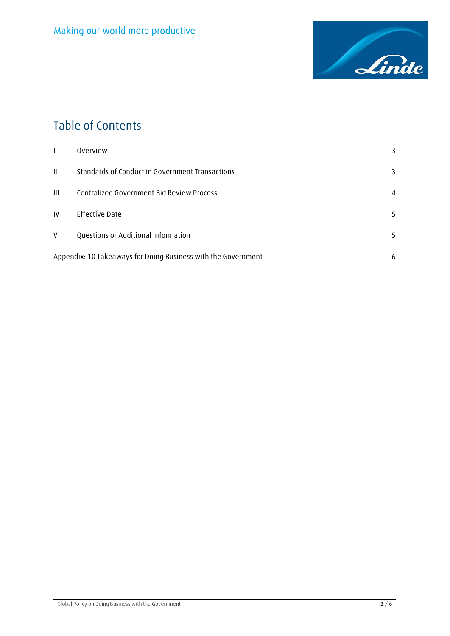

## **Table of Contents**

|              | Overview                                                      | 3  |
|--------------|---------------------------------------------------------------|----|
| $\mathbf{H}$ | Standards of Conduct in Government Transactions               | 3  |
| Ш            | Centralized Government Bid Review Process                     | 4  |
| IV           | <b>Effective Date</b>                                         | 5  |
| V            | Questions or Additional Information                           | 5. |
|              | Appendix: 10 Takeaways for Doing Business with the Government |    |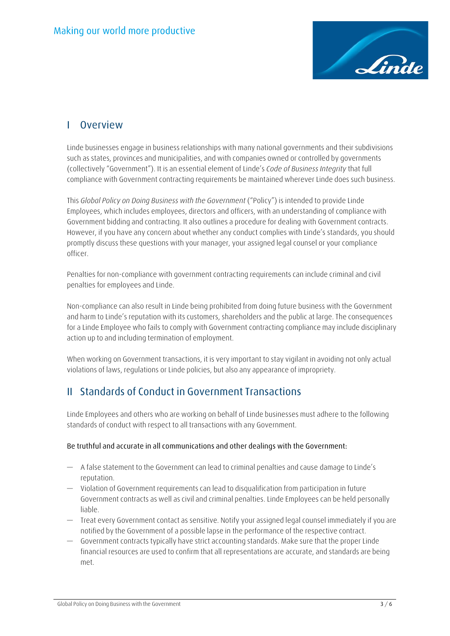

### <span id="page-2-0"></span>**I Overview**

Linde businesses engage in business relationships with many national governments and their subdivisions such as states, provinces and municipalities, and with companies owned or controlled by governments (collectively "Government"). It is an essential element of Linde's *Code of Business Integrity* that full compliance with Government contracting requirements be maintained wherever Linde does such business.

This *Global Policy on Doing Business with the Government* ("Policy") is intended to provide Linde Employees, which includes employees, directors and officers, with an understanding of compliance with Government bidding and contracting. It also outlines a procedure for dealing with Government contracts. However, if you have any concern about whether any conduct complies with Linde's standards, you should promptly discuss these questions with your manager, your assigned legal counsel or your compliance officer.

Penalties for non-compliance with government contracting requirements can include criminal and civil penalties for employees and Linde.

Non-compliance can also result in Linde being prohibited from doing future business with the Government and harm to Linde's reputation with its customers, shareholders and the public at large. The consequences for a Linde Employee who fails to comply with Government contracting compliance may include disciplinary action up to and including termination of employment.

When working on Government transactions, it is very important to stay vigilant in avoiding not only actual violations of laws, regulations or Linde policies, but also any appearance of impropriety.

### <span id="page-2-1"></span>**II Standards of Conduct in Government Transactions**

Linde Employees and others who are working on behalf of Linde businesses must adhere to the following standards of conduct with respect to all transactions with any Government.

#### **Be truthful and accurate in all communications and other dealings with the Government:**

- A false statement to the Government can lead to criminal penalties and cause damage to Linde's reputation.
- Violation of Government requirements can lead to disqualification from participation in future Government contracts as well as civil and criminal penalties. Linde Employees can be held personally liable.
- Treat every Government contact as sensitive. Notify your assigned legal counsel immediately if you are notified by the Government of a possible lapse in the performance of the respective contract.
- Government contracts typically have strict accounting standards. Make sure that the proper Linde financial resources are used to confirm that all representations are accurate, and standards are being met.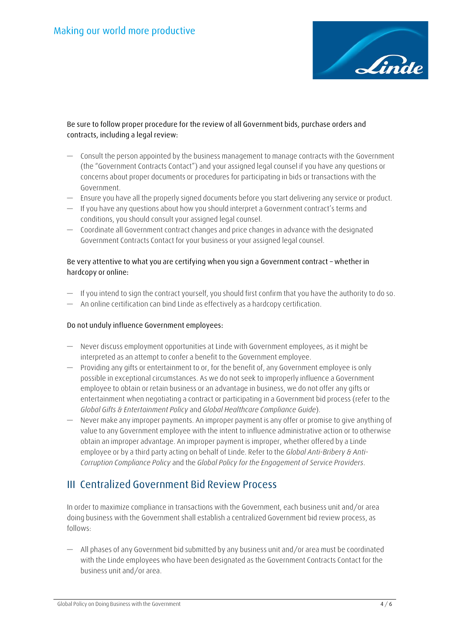

#### **Be sure to follow proper procedure for the review of all Government bids, purchase orders and contracts, including a legal review:**

- Consult the person appointed by the business management to manage contracts with the Government (the "Government Contracts Contact") and your assigned legal counsel if you have any questions or concerns about proper documents or procedures for participating in bids or transactions with the Government.
- Ensure you have all the properly signed documents before you start delivering any service or product.
- If you have any questions about how you should interpret a Government contract's terms and conditions, you should consult your assigned legal counsel.
- Coordinate all Government contract changes and price changes in advance with the designated Government Contracts Contact for your business or your assigned legal counsel.

#### **Be very attentive to what you are certifying when you sign a Government contract – whether in hardcopy or online:**

- If you intend to sign the contract yourself, you should first confirm that you have the authority to do so.
- An online certification can bind Linde as effectively as a hardcopy certification.

#### **Do not unduly influence Government employees:**

- Never discuss employment opportunities at Linde with Government employees, as it might be interpreted as an attempt to confer a benefit to the Government employee.
- Providing any gifts or entertainment to or, for the benefit of, any Government employee is only possible in exceptional circumstances. As we do not seek to improperly influence a Government employee to obtain or retain business or an advantage in business, we do not offer any gifts or entertainment when negotiating a contract or participating in a Government bid process (refer to the *Global Gifts & Entertainment Policy* and *Global Healthcare Compliance Guide*).
- Never make any improper payments. An improper payment is any offer or promise to give anything of value to any Government employee with the intent to influence administrative action or to otherwise obtain an improper advantage. An improper payment is improper, whether offered by a Linde employee or by a third party acting on behalf of Linde. Refer to the *Global Anti-Bribery & Anti-Corruption Compliance Policy* and the *Global Policy for the Engagement of Service Providers*.

### <span id="page-3-0"></span>**III Centralized Government Bid Review Process**

In order to maximize compliance in transactions with the Government, each business unit and/or area doing business with the Government shall establish a centralized Government bid review process, as follows:

— All phases of any Government bid submitted by any business unit and/or area must be coordinated with the Linde employees who have been designated as the Government Contracts Contact for the business unit and/or area.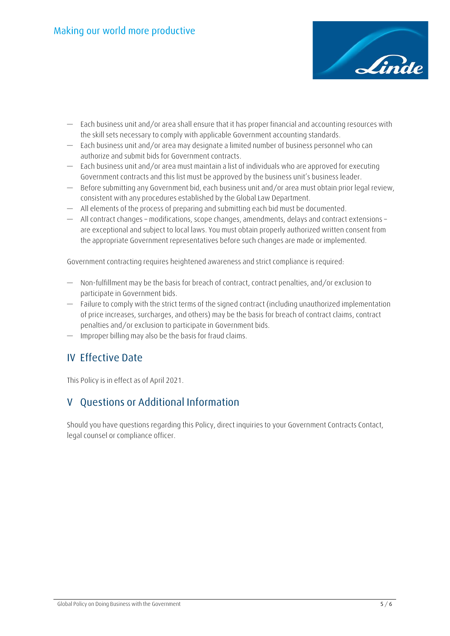

- Each business unit and/or area shall ensure that it has proper financial and accounting resources with the skill sets necessary to comply with applicable Government accounting standards.
- Each business unit and/or area may designate a limited number of business personnel who can authorize and submit bids for Government contracts.
- Each business unit and/or area must maintain a list of individuals who are approved for executing Government contracts and this list must be approved by the business unit's business leader.
- Before submitting any Government bid, each business unit and/or area must obtain prior legal review, consistent with any procedures established by the Global Law Department.
- All elements of the process of preparing and submitting each bid must be documented.
- All contract changes modifications, scope changes, amendments, delays and contract extensions are exceptional and subject to local laws. You must obtain properly authorized written consent from the appropriate Government representatives before such changes are made or implemented.

Government contracting requires heightened awareness and strict compliance is required:

- Non-fulfillment may be the basis for breach of contract, contract penalties, and/or exclusion to participate in Government bids.
- Failure to comply with the strict terms of the signed contract (including unauthorized implementation of price increases, surcharges, and others) may be the basis for breach of contract claims, contract penalties and/or exclusion to participate in Government bids.
- Improper billing may also be the basis for fraud claims.

### <span id="page-4-0"></span>**IV Effective Date**

This Policy is in effect as of April 2021.

### <span id="page-4-1"></span>**V Questions or Additional Information**

Should you have questions regarding this Policy, direct inquiries to your Government Contracts Contact, legal counsel or compliance officer.